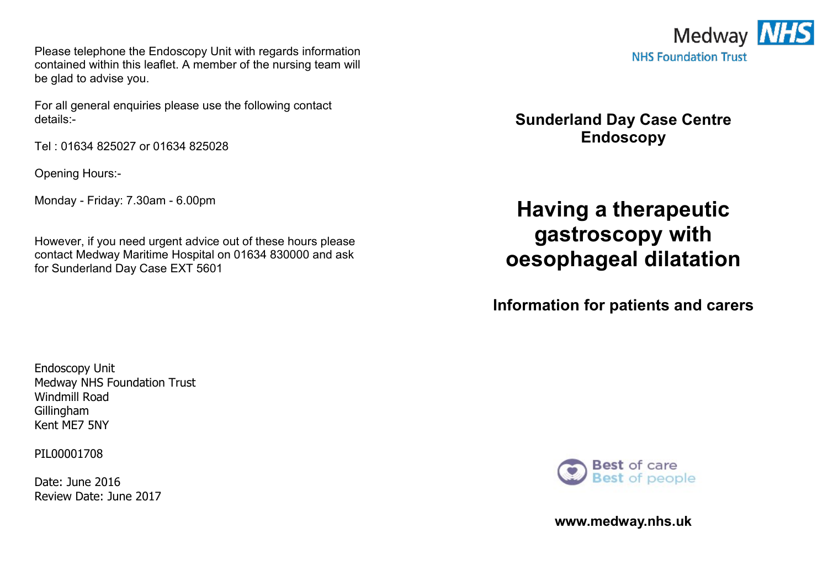Please telephone the Endoscopy Unit with regards information contained within this leaflet. A member of the nursing team will be glad to advise you.

For all general enquiries please use the following contact details:-

Tel : 01634 825027 or 01634 825028

Opening Hours:-

Monday - Friday: 7.30am - 6.00pm

However, if you need urgent advice out of these hours please contact Medway Maritime Hospital on 01634 830000 and ask for Sunderland Day Case EXT 5601

Endoscopy Unit Medway NHS Foundation Trust Windmill Road Gillingham Kent ME7 5NY

PIL00001708

Date: June 2016 Review Date: June 2017



**Sunderland Day Case Centre Endoscopy** 

**Having a therapeutic gastroscopy with oesophageal dilatation**

**Information for patients and carers**



**www.medway.nhs.uk**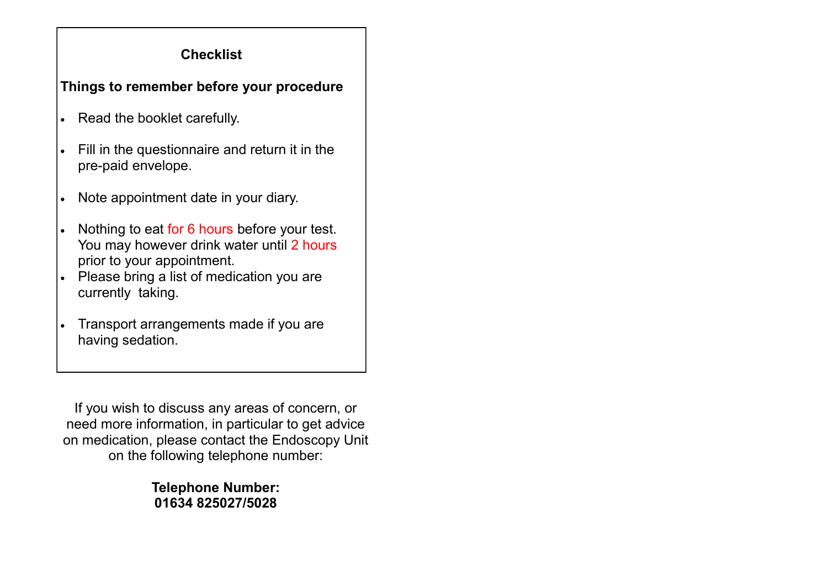# **Checklist**

# **Things to remember before your procedure**

- Read the booklet carefully.
- Fill in the questionnaire and return it in the pre-paid envelope.
- Note appointment date in your diary.
- Nothing to eat for 6 hours before your test. You may however drink water until 2 hours prior to your appointment.
- Please bring a list of medication you are currently taking.
- Transport arrangements made if you are having sedation.

If you wish to discuss any areas of concern, or need more information, in particular to get advice on medication, please contact the Endoscopy Unit on the following telephone number:

> **Telephone Number: 01634 825027/5028**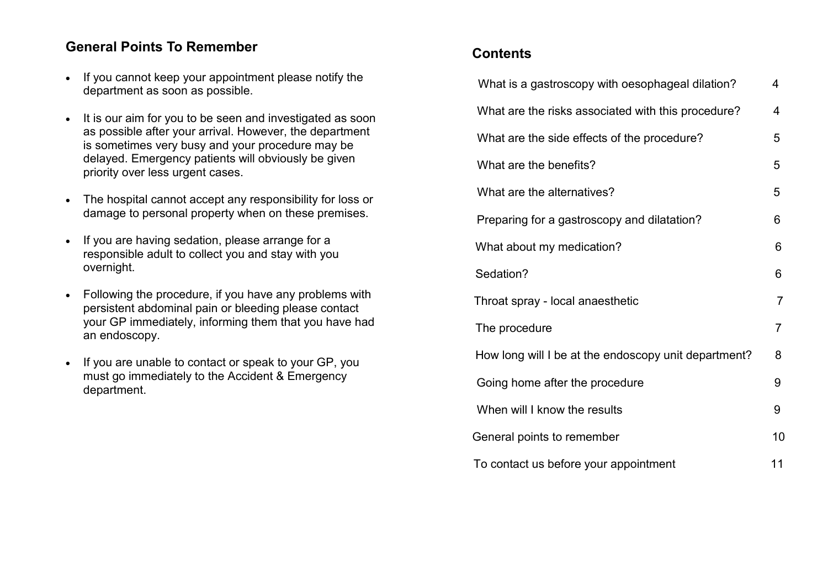# **General Points To Remember**

- If you cannot keep your appointment please notify the department as soon as possible.
- It is our aim for you to be seen and investigated as soon as possible after your arrival. However, the department is sometimes very busy and your procedure may be delayed. Emergency patients will obviously be given priority over less urgent cases.
- The hospital cannot accept any responsibility for loss or damage to personal property when on these premises.
- If you are having sedation, please arrange for a responsible adult to collect you and stay with you overnight.
- Following the procedure, if you have any problems with persistent abdominal pain or bleeding please contact your GP immediately, informing them that you have had an endoscopy.
- If you are unable to contact or speak to your GP, you must go immediately to the Accident & Emergency department.

# **Contents**

| What is a gastroscopy with oesophageal dilation?     | 4              |
|------------------------------------------------------|----------------|
| What are the risks associated with this procedure?   | 4              |
| What are the side effects of the procedure?          | 5              |
| What are the benefits?                               | 5              |
| What are the alternatives?                           | 5              |
| Preparing for a gastroscopy and dilatation?          | 6              |
| What about my medication?                            | 6              |
| Sedation?                                            | 6              |
| Throat spray - local anaesthetic                     | $\overline{7}$ |
| The procedure                                        | $\overline{7}$ |
| How long will I be at the endoscopy unit department? | 8              |
| Going home after the procedure                       | 9              |
| When will I know the results                         | 9              |
| General points to remember                           | 10             |
| To contact us before your appointment                | 11             |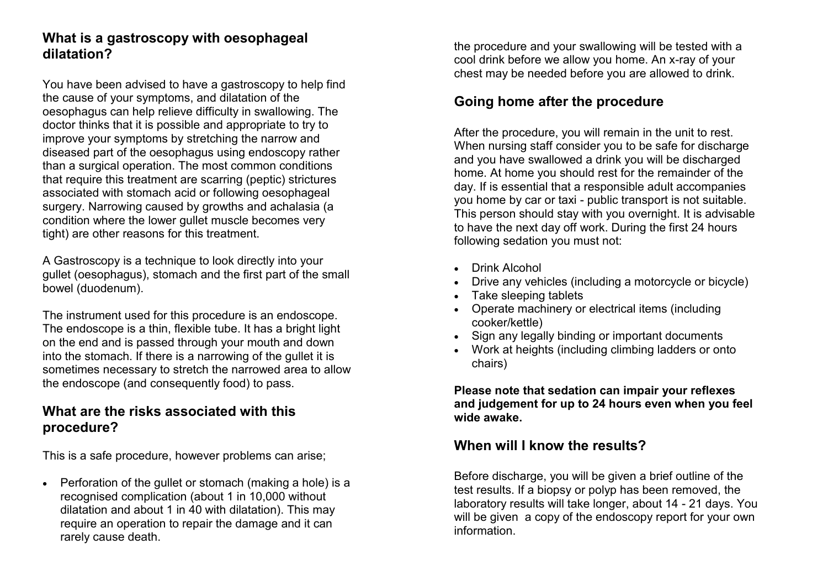# **What is a gastroscopy with oesophageal dilatation?**

You have been advised to have a gastroscopy to help find the cause of your symptoms, and dilatation of the oesophagus can help relieve difficulty in swallowing. The doctor thinks that it is possible and appropriate to try to improve your symptoms by stretching the narrow and diseased part of the oesophagus using endoscopy rather than a surgical operation. The most common conditions that require this treatment are scarring (peptic) strictures associated with stomach acid or following oesophageal surgery. Narrowing caused by growths and achalasia (a condition where the lower gullet muscle becomes very tight) are other reasons for this treatment.

A Gastroscopy is a technique to look directly into your gullet (oesophagus), stomach and the first part of the small bowel (duodenum).

The instrument used for this procedure is an endoscope. The endoscope is a thin, flexible tube. It has a bright light on the end and is passed through your mouth and down into the stomach. If there is a narrowing of the gullet it is sometimes necessary to stretch the narrowed area to allow the endoscope (and consequently food) to pass.

### **What are the risks associated with this procedure?**

This is a safe procedure, however problems can arise;

• Perforation of the gullet or stomach (making a hole) is a recognised complication (about 1 in 10,000 without dilatation and about 1 in 40 with dilatation). This may require an operation to repair the damage and it can rarely cause death.

the procedure and your swallowing will be tested with a cool drink before we allow you home. An x-ray of your chest may be needed before you are allowed to drink.

# **Going home after the procedure**

After the procedure, you will remain in the unit to rest. When nursing staff consider you to be safe for discharge and you have swallowed a drink you will be discharged home. At home you should rest for the remainder of the day. If is essential that a responsible adult accompanies you home by car or taxi - public transport is not suitable. This person should stay with you overnight. It is advisable to have the next day off work. During the first 24 hours following sedation you must not:

- Drink Alcohol
- Drive any vehicles (including a motorcycle or bicycle)
- Take sleeping tablets
- Operate machinery or electrical items (including cooker/kettle)
- Sign any legally binding or important documents
- Work at heights (including climbing ladders or onto chairs)

**Please note that sedation can impair your reflexes and judgement for up to 24 hours even when you feel wide awake.**

### **When will I know the results?**

Before discharge, you will be given a brief outline of the test results. If a biopsy or polyp has been removed, the laboratory results will take longer, about 14 - 21 days. You will be given a copy of the endoscopy report for your own information.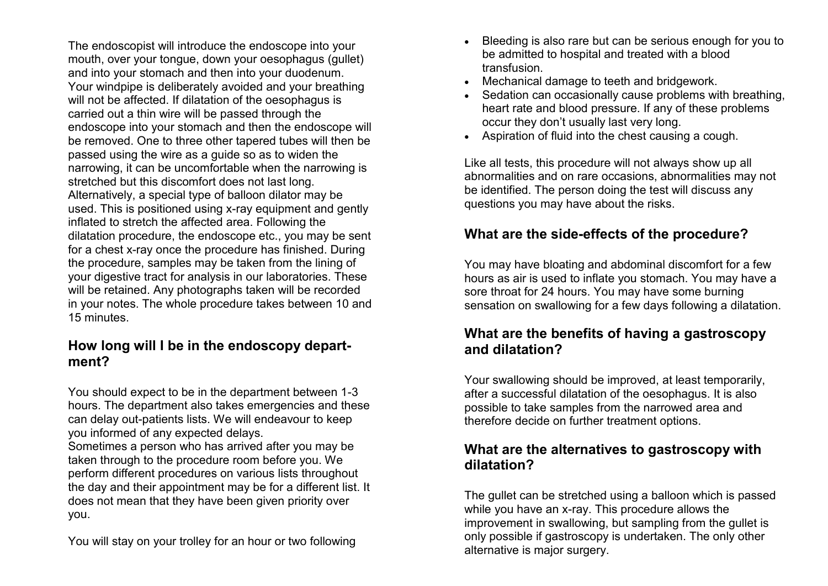The endoscopist will introduce the endoscope into your mouth, over your tongue, down your oesophagus (gullet) and into your stomach and then into your duodenum. Your windpipe is deliberately avoided and your breathing will not be affected. If dilatation of the oesophagus is carried out a thin wire will be passed through the endoscope into your stomach and then the endoscope will be removed. One to three other tapered tubes will then be passed using the wire as a guide so as to widen the narrowing, it can be uncomfortable when the narrowing is stretched but this discomfort does not last long. Alternatively, a special type of balloon dilator may be used. This is positioned using x-ray equipment and gently inflated to stretch the affected area. Following the dilatation procedure, the endoscope etc., you may be sent for a chest x-ray once the procedure has finished. During the procedure, samples may be taken from the lining of your digestive tract for analysis in our laboratories. These will be retained. Any photographs taken will be recorded in your notes. The whole procedure takes between 10 and 15 minutes.

#### **How long will I be in the endoscopy department?**

You should expect to be in the department between 1-3 hours. The department also takes emergencies and these can delay out-patients lists. We will endeavour to keep you informed of any expected delays.

Sometimes a person who has arrived after you may be taken through to the procedure room before you. We perform different procedures on various lists throughout the day and their appointment may be for a different list. It does not mean that they have been given priority over you.

You will stay on your trolley for an hour or two following

- Bleeding is also rare but can be serious enough for you to be admitted to hospital and treated with a blood transfusion.
- Mechanical damage to teeth and bridgework.
- Sedation can occasionally cause problems with breathing. heart rate and blood pressure. If any of these problems occur they don't usually last very long.
- Aspiration of fluid into the chest causing a cough.

Like all tests, this procedure will not always show up all abnormalities and on rare occasions, abnormalities may not be identified. The person doing the test will discuss any questions you may have about the risks.

### **What are the side-effects of the procedure?**

You may have bloating and abdominal discomfort for a few hours as air is used to inflate you stomach. You may have a sore throat for 24 hours. You may have some burning sensation on swallowing for a few days following a dilatation.

### **What are the benefits of having a gastroscopy and dilatation?**

Your swallowing should be improved, at least temporarily, after a successful dilatation of the oesophagus. It is also possible to take samples from the narrowed area and therefore decide on further treatment options.

### **What are the alternatives to gastroscopy with dilatation?**

The gullet can be stretched using a balloon which is passed while you have an x-ray. This procedure allows the improvement in swallowing, but sampling from the gullet is only possible if gastroscopy is undertaken. The only other alternative is major surgery.